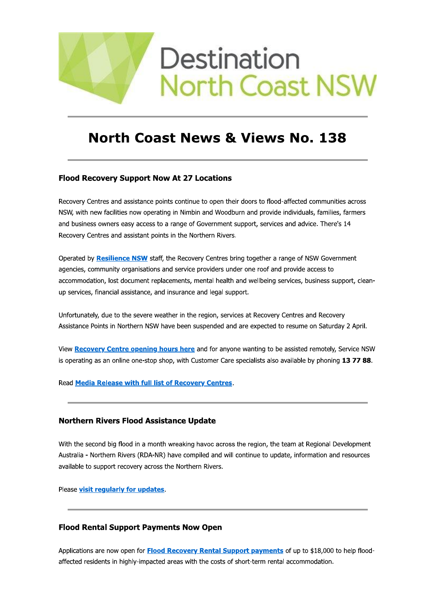

# **North Coast News & Views No. 138**

# **Flood Recovery Support Now At 27 Locations**

Recovery Centres and assistance points continue to open their doors to flood-affected communities across NSW, with new facilities now operating in Nimbin and Woodburn and provide individuals, families, farmers and business owners easy access to a range of Government support, services and advice. There's 14 Recovery Centres and assistant points in the Northern Rivers.

Operated by Resilience NSW staff, the Recovery Centres bring together a range of NSW Government agencies, community organisations and service providers under one roof and provide access to accommodation, lost document replacements, mental health and wellbeing services, business support, cleanup services, financial assistance, and insurance and legal support.

Unfortunately, due to the severe weather in the region, services at Recovery Centres and Recovery Assistance Points in Northern NSW have been suspended and are expected to resume on Saturday 2 April.

View Recovery Centre opening hours here and for anyone wanting to be assisted remotely, Service NSW is operating as an online one-stop shop, with Customer Care specialists also available by phoning 13 77 88.

Read Media Release with full list of Recovery Centres.

# **Northern Rivers Flood Assistance Update**

With the second big flood in a month wreaking havoc across the region, the team at Regional Development Australia - Northern Rivers (RDA-NR) have compiled and will continue to update, information and resources available to support recovery across the Northern Rivers.

Please visit regularly for updates.

# **Flood Rental Support Payments Now Open**

Applications are now open for Flood Recovery Rental Support payments of up to \$18,000 to help floodaffected residents in highly-impacted areas with the costs of short-term rental accommodation.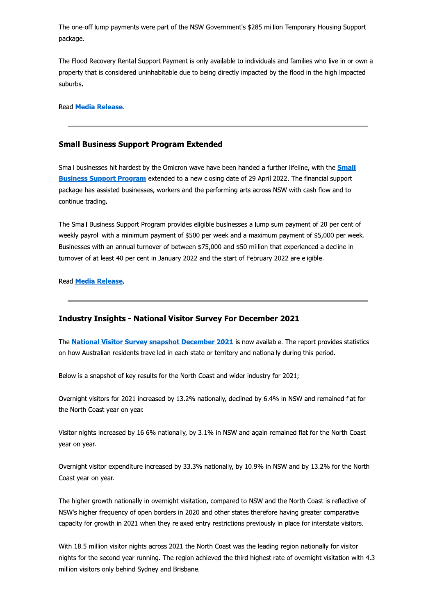The one-off lump payments were part of the NSW Government's \$285 million Temporary Housing Support package.

The Flood Recovery Rental Support Payment is only available to individuals and families who live in or own a property that is considered uninhabitable due to being directly impacted by the flood in the high impacted suburbs.

**Read Media Release.** 

### **Small Business Support Program Extended**

Small businesses hit hardest by the Omicron wave have been handed a further lifeline, with the **Small Business Support Program** extended to a new closing date of 29 April 2022. The financial support package has assisted businesses, workers and the performing arts across NSW with cash flow and to continue trading.

The Small Business Support Program provides eligible businesses a lump sum payment of 20 per cent of weekly payroll with a minimum payment of \$500 per week and a maximum payment of \$5,000 per week. Businesses with an annual turnover of between \$75,000 and \$50 million that experienced a decline in turnover of at least 40 per cent in January 2022 and the start of February 2022 are eligible.

Read **Media Release**.

### **Industry Insights - National Visitor Survey For December 2021**

The National Visitor Survey snapshot December 2021 is now available. The report provides statistics on how Australian residents travelled in each state or territory and nationally during this period.

Below is a snapshot of key results for the North Coast and wider industry for 2021;

Overnight visitors for 2021 increased by 13.2% nationally, declined by 6.4% in NSW and remained flat for the North Coast year on year.

Visitor nights increased by 16.6% nationally, by 3.1% in NSW and again remained flat for the North Coast vear on year.

Overnight visitor expenditure increased by 33.3% nationally, by 10.9% in NSW and by 13.2% for the North Coast year on year.

The higher growth nationally in overnight visitation, compared to NSW and the North Coast is reflective of NSW's higher frequency of open borders in 2020 and other states therefore having greater comparative capacity for growth in 2021 when they relaxed entry restrictions previously in place for interstate visitors.

With 18.5 million visitor nights across 2021 the North Coast was the leading region nationally for visitor nights for the second year running. The region achieved the third highest rate of overnight visitation with 4.3 million visitors only behind Sydney and Brisbane.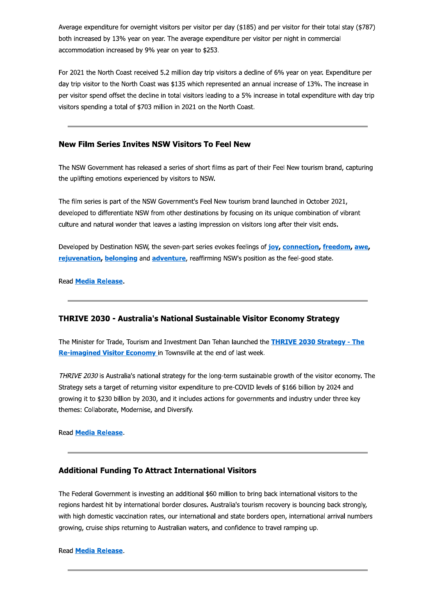Average expenditure for overnight visitors per visitor per day (\$185) and per visitor for their total stay (\$787) both increased by 13% year on year. The average expenditure per visitor per night in commercial accommodation increased by 9% year on year to \$253.

For 2021 the North Coast received 5.2 million day trip visitors a decline of 6% year on year. Expenditure per day trip visitor to the North Coast was \$135 which represented an annual increase of 13%. The increase in per visitor spend offset the decline in total visitors leading to a 5% increase in total expenditure with day trip visitors spending a total of \$703 million in 2021 on the North Coast.

# **New Film Series Invites NSW Visitors To Feel New**

The NSW Government has released a series of short films as part of their Feel New tourism brand, capturing the uplifting emotions experienced by visitors to NSW.

The film series is part of the NSW Government's Feel New tourism brand launched in October 2021, developed to differentiate NSW from other destinations by focusing on its unique combination of vibrant culture and natural wonder that leaves a lasting impression on visitors long after their visit ends.

Developed by Destination NSW, the seven-part series evokes feelings of joy, connection, freedom, awe, rejuvenation, belonging and adventure, reaffirming NSW's position as the feel-good state.

Read Media Release.

# THRIVE 2030 - Australia's National Sustainable Visitor Economy Strategy

The Minister for Trade, Tourism and Investment Dan Tehan launched the THRIVE 2030 Strategy - The Re-imagined Visitor Economy in Townsville at the end of last week.

THRIVE 2030 is Australia's national strategy for the long-term sustainable growth of the visitor economy. The Strategy sets a target of returning visitor expenditure to pre-COVID levels of \$166 billion by 2024 and growing it to \$230 billion by 2030, and it includes actions for governments and industry under three key themes: Collaborate, Modernise, and Diversify.

Read Media Release.

# **Additional Funding To Attract International Visitors**

The Federal Government is investing an additional \$60 million to bring back international visitors to the regions hardest hit by international border closures. Australia's tourism recovery is bouncing back strongly, with high domestic vaccination rates, our international and state borders open, international arrival numbers growing, cruise ships returning to Australian waters, and confidence to travel ramping up.

**Read Media Release.**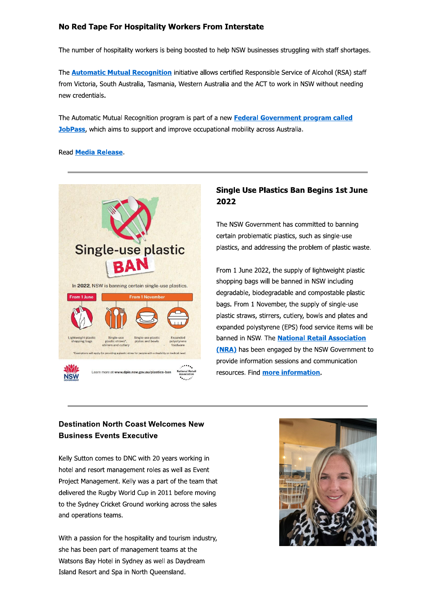# No Red Tape For Hospitality Workers From Interstate

The number of hospitality workers is being boosted to help NSW businesses struggling with staff shortages.

The **Automatic Mutual Recognition** initiative allows certified Responsible Service of Alcohol (RSA) staff from Victoria, South Australia, Tasmania, Western Australia and the ACT to work in NSW without needing new credentials.

The Automatic Mutual Recognition program is part of a new Federal Government program called JobPass, which aims to support and improve occupational mobility across Australia.

### Read **Media Release**.



# **Single Use Plastics Ban Begins 1st June** 2022

The NSW Government has committed to banning certain problematic plastics, such as single-use plastics, and addressing the problem of plastic waste.

From 1 June 2022, the supply of lightweight plastic shopping bags will be banned in NSW including degradable, biodegradable and compostable plastic bags. From 1 November, the supply of single-use plastic straws, stirrers, cutlery, bowls and plates and expanded polystyrene (EPS) food service items will be banned in NSW. The **National Retail Association** (NRA) has been engaged by the NSW Government to provide information sessions and communication resources. Find more information.

# **Destination North Coast Welcomes New Business Events Executive**

Kelly Sutton comes to DNC with 20 years working in hotel and resort management roles as well as Event Project Management. Kelly was a part of the team that delivered the Rugby World Cup in 2011 before moving to the Sydney Cricket Ground working across the sales and operations teams.

With a passion for the hospitality and tourism industry, she has been part of management teams at the Watsons Bay Hotel in Sydney as well as Daydream Island Resort and Spa in North Queensland.

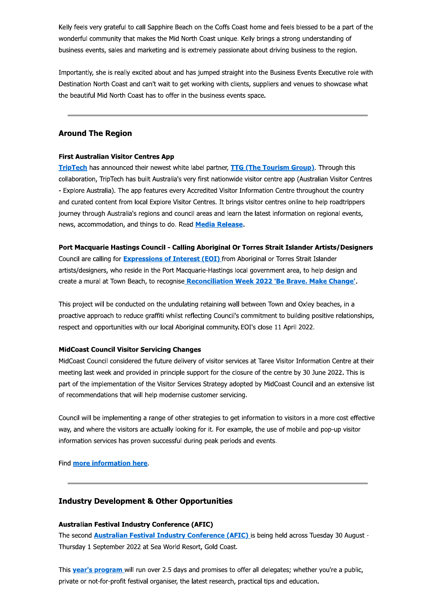Kelly feels very grateful to call Sapphire Beach on the Coffs Coast home and feels blessed to be a part of the wonderful community that makes the Mid North Coast unique. Kelly brings a strong understanding of business events, sales and marketing and is extremely passionate about driving business to the region.

Importantly, she is really excited about and has jumped straight into the Business Events Executive role with Destination North Coast and can't wait to get working with clients, suppliers and venues to showcase what the beautiful Mid North Coast has to offer in the business events space.

### **Around The Region**

#### **First Australian Visitor Centres App**

TripTech has announced their newest white label partner, TTG (The Tourism Group). Through this collaboration, TripTech has built Australia's very first nationwide visitor centre app (Australian Visitor Centres - Explore Australia). The app features every Accredited Visitor Information Centre throughout the country and curated content from local Explore Visitor Centres. It brings visitor centres online to help roadtrippers journey through Australia's regions and council areas and learn the latest information on regional events, news, accommodation, and things to do. Read Media Release.

#### Port Macquarie Hastings Council - Calling Aboriginal Or Torres Strait Islander Artists/Designers

Council are calling for Expressions of Interest (EOI) from Aboriginal or Torres Strait Islander artists/designers, who reside in the Port Macquarie-Hastings local government area, to help design and create a mural at Town Beach, to recognise Reconciliation Week 2022 'Be Brave. Make Change'.

This project will be conducted on the undulating retaining wall between Town and Oxley beaches, in a proactive approach to reduce graffiti whilst reflecting Council's commitment to building positive relationships, respect and opportunities with our local Aboriginal community. EOI's close 11 April 2022.

### **MidCoast Council Visitor Servicing Changes**

MidCoast Council considered the future delivery of visitor services at Taree Visitor Information Centre at their meeting last week and provided in principle support for the closure of the centre by 30 June 2022. This is part of the implementation of the Visitor Services Strategy adopted by MidCoast Council and an extensive list of recommendations that will help modernise customer servicing.

Council will be implementing a range of other strategies to get information to visitors in a more cost effective way, and where the visitors are actually looking for it. For example, the use of mobile and pop-up visitor information services has proven successful during peak periods and events.

Find more information here.

### **Industry Development & Other Opportunities**

# **Australian Festival Industry Conference (AFIC)**

The second **Australian Festival Industry Conference (AFIC)** is being held across Tuesday 30 August -Thursday 1 September 2022 at Sea World Resort, Gold Coast.

This **year's program** will run over 2.5 days and promises to offer all delegates; whether you're a public, private or not-for-profit festival organiser, the latest research, practical tips and education.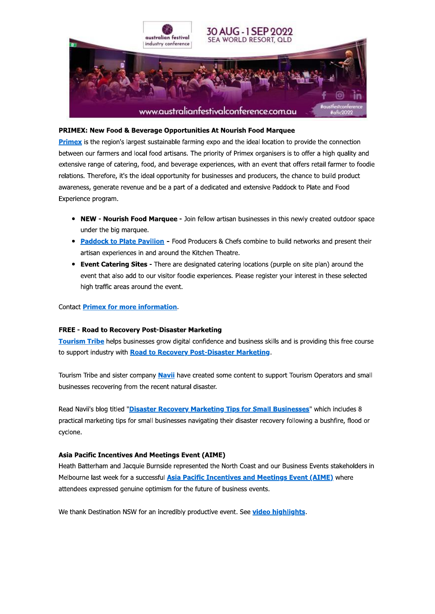

### PRIMEX: New Food & Beverage Opportunities At Nourish Food Marquee

Primex is the region's largest sustainable farming expo and the ideal location to provide the connection between our farmers and local food artisans. The priority of Primex organisers is to offer a high quality and extensive range of catering, food, and beverage experiences, with an event that offers retail farmer to foodie relations. Therefore, it's the ideal opportunity for businesses and producers, the chance to build product awareness, generate revenue and be a part of a dedicated and extensive Paddock to Plate and Food Experience program.

- NEW Nourish Food Marquee Join fellow artisan businesses in this newly created outdoor space under the big marquee.
- Paddock to Plate Pavilion Food Producers & Chefs combine to build networks and present their artisan experiences in and around the Kitchen Theatre.
- Event Catering Sites There are designated catering locations (purple on site plan) around the event that also add to our visitor foodie experiences. Please register your interest in these selected high traffic areas around the event.

### **Contact Primex for more information.**

### **FREE - Road to Recovery Post-Disaster Marketing**

Tourism Tribe helps businesses grow digital confidence and business skills and is providing this free course to support industry with Road to Recovery Post-Disaster Marketing.

Tourism Tribe and sister company Navii have created some content to support Tourism Operators and small businesses recovering from the recent natural disaster.

Read Navii's blog titled "Disaster Recovery Marketing Tips for Small Businesses" which includes 8 practical marketing tips for small businesses navigating their disaster recovery following a bushfire, flood or cyclone.

### **Asia Pacific Incentives And Meetings Event (AIME)**

Heath Batterham and Jacquie Burnside represented the North Coast and our Business Events stakeholders in Melbourne last week for a successful Asia Pacific Incentives and Meetings Event (AIME) where attendees expressed genuine optimism for the future of business events.

We thank Destination NSW for an incredibly productive event. See video highlights.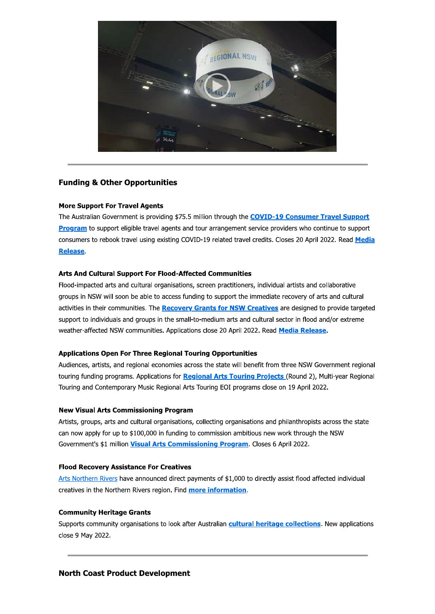

# **Funding & Other Opportunities**

### **More Support For Travel Agents**

The Australian Government is providing \$75.5 million through the COVID-19 Consumer Travel Support Program to support eligible travel agents and tour arrangement service providers who continue to support consumers to rebook travel using existing COVID-19 related travel credits. Closes 20 April 2022. Read Media **Release** 

### Arts And Cultural Support For Flood-Affected Communities

Flood-impacted arts and cultural organisations, screen practitioners, individual artists and collaborative groups in NSW will soon be able to access funding to support the immediate recovery of arts and cultural activities in their communities. The Recovery Grants for NSW Creatives are designed to provide targeted support to individuals and groups in the small-to-medium arts and cultural sector in flood and/or extreme weather-affected NSW communities. Applications close 20 April 2022. Read Media Release.

### **Applications Open For Three Regional Touring Opportunities**

Audiences, artists, and regional economies across the state will benefit from three NSW Government regional touring funding programs. Applications for Regional Arts Touring Projects (Round 2), Multi-year Regional Touring and Contemporary Music Regional Arts Touring EOI programs close on 19 April 2022.

### **New Visual Arts Commissioning Program**

Artists, groups, arts and cultural organisations, collecting organisations and philanthropists across the state can now apply for up to \$100,000 in funding to commission ambitious new work through the NSW Government's \$1 million Visual Arts Commissioning Program. Closes 6 April 2022.

### **Flood Recovery Assistance For Creatives**

Arts Northern Rivers have announced direct payments of \$1,000 to directly assist flood affected individual creatives in the Northern Rivers region. Find more information.

### **Community Heritage Grants**

Supports community organisations to look after Australian cultural heritage collections. New applications close 9 May 2022.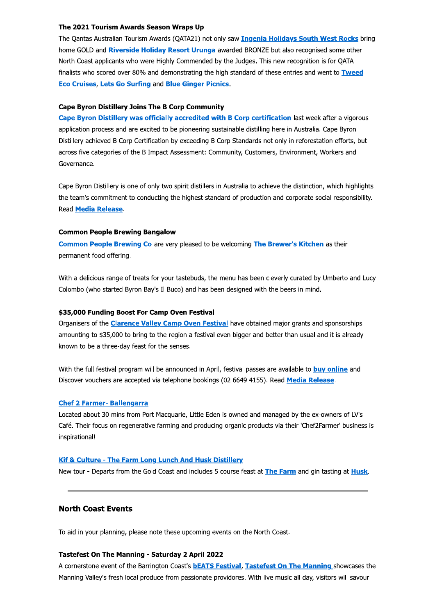#### The 2021 Tourism Awards Season Wraps Up

The Qantas Australian Tourism Awards (QATA21) not only saw Ingenia Holidays South West Rocks bring home GOLD and **Riverside Holiday Resort Urunga** awarded BRONZE but also recognised some other North Coast applicants who were Highly Commended by the Judges. This new recognition is for QATA finalists who scored over 80% and demonstrating the high standard of these entries and went to Tweed **Eco Cruises, Lets Go Surfing and Blue Ginger Picnics.** 

#### **Cape Byron Distillery Joins The B Corp Community**

Cape Byron Distillery was officially accredited with B Corp certification last week after a vigorous application process and are excited to be pioneering sustainable distilling here in Australia. Cape Byron Distillery achieved B Corp Certification by exceeding B Corp Standards not only in reforestation efforts, but across five categories of the B Impact Assessment: Community, Customers, Environment, Workers and Governance.

Cape Byron Distillery is one of only two spirit distillers in Australia to achieve the distinction, which highlights the team's commitment to conducting the highest standard of production and corporate social responsibility. Read Media Release.

#### **Common People Brewing Bangalow**

Common People Brewing Co are very pleased to be welcoming The Brewer's Kitchen as their permanent food offering.

With a delicious range of treats for your tastebuds, the menu has been cleverly curated by Umberto and Lucy Colombo (who started Byron Bay's Il Buco) and has been designed with the beers in mind.

#### \$35,000 Funding Boost For Camp Oven Festival

Organisers of the **Clarence Valley Camp Oven Festival** have obtained major grants and sponsorships amounting to \$35,000 to bring to the region a festival even bigger and better than usual and it is already known to be a three-day feast for the senses.

With the full festival program will be announced in April, festival passes are available to buy online and Discover vouchers are accepted via telephone bookings (02 6649 4155). Read Media Release.

#### **Chef 2 Farmer- Ballengarra**

Located about 30 mins from Port Macquarie, Little Eden is owned and managed by the ex-owners of LV's Café. Their focus on regenerative farming and producing organic products via their 'Chef2Farmer' business is inspirational!

#### **Kif & Culture - The Farm Long Lunch And Husk Distillery**

New tour - Departs from the Gold Coast and includes 5 course feast at The Farm and gin tasting at Husk.

# **North Coast Events**

To aid in your planning, please note these upcoming events on the North Coast.

#### **Tastefest On The Manning - Saturday 2 April 2022**

A cornerstone event of the Barrington Coast's **bEATS Festival, Tastefest On The Manning** showcases the Manning Valley's fresh local produce from passionate providores. With live music all day, visitors will savour